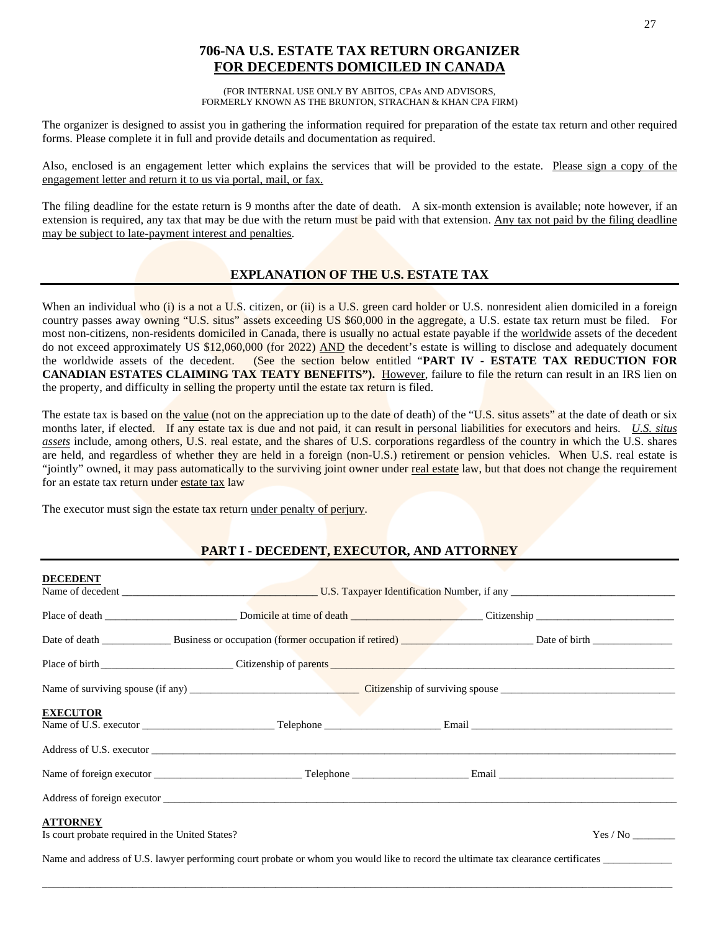# **706-NA U.S. ESTATE TAX RETURN ORGANIZER FOR DECEDENTS DOMICILED IN CANADA**

(FOR INTERNAL USE ONLY BY ABITOS, CPAs AND ADVISORS, FORMERLY KNOWN AS THE BRUNTON, STRACHAN & KHAN CPA FIRM)

The organizer is designed to assist you in gathering the information required for preparation of the estate tax return and other required forms. Please complete it in full and provide details and documentation as required.

Also, enclosed is an engagement letter which explains the services that will be provided to the estate. Please sign a copy of the engagement letter and return it to us via portal, mail, or fax.

The filing deadline for the estate return is 9 months after the date of death. A six-month extension is available; note however, if an extension is required, any tax that may be due with the return must be paid with that extension. Any tax not paid by the filing deadline may be subject to late-payment interest and penalties.

### **EXPLANATION OF THE U.S. ESTATE TAX**

When an individual who (i) is a not a U.S. citizen, or (ii) is a U.S. green card holder or U.S. nonresident alien domiciled in a foreign country passes away owning "U.S. situs" assets exceeding US \$60,000 in the aggregate, a U.S. estate tax return must be filed. For most non-citizens, non-residents domiciled in Canada, there is usually no actual estate payable if the worldwide assets of the decedent do not exceed approximately US \$12,060,000 (for 2022) AND the decedent's estate is willing to disclose and adequately document the worldwide assets of the decedent. (See the section below entitled "**PART IV - ESTATE TAX REDUCTION FOR CANADIAN ESTATES CLAIMING TAX TEATY BENEFITS").** However, failure to file the return can result in an IRS lien on the property, and difficulty in selling the property until the estate tax return is filed.

The estate tax is based on the value (not on the appreciation up to the date of death) of the "U.S. situs assets" at the date of death or six months later, if elected. If any estate tax is due and not paid, it can result in personal liabilities for executors and heirs. *U.S. situs assets* include, among others, U.S. real estate, and the shares of U.S. corporations regardless of the country in which the U.S. shares are held, and regardless of whether they are held in a foreign (non-U.S.) retirement or pension vehicles. When U.S. real estate is "jointly" owned, it may pass automatically to the surviving joint owner under real estate law, but that does not change the requirement for an estate tax return under estate tax law

The executor must sign the estate tax return under penalty of perjury.

## **PART I - DECEDENT, EXECUTOR, AND ATTORNEY**

| <b>DECEDENT</b>                                                    |                                                                                                                                                                                                                               |  |          |  |  |
|--------------------------------------------------------------------|-------------------------------------------------------------------------------------------------------------------------------------------------------------------------------------------------------------------------------|--|----------|--|--|
|                                                                    |                                                                                                                                                                                                                               |  |          |  |  |
|                                                                    |                                                                                                                                                                                                                               |  |          |  |  |
|                                                                    |                                                                                                                                                                                                                               |  |          |  |  |
|                                                                    |                                                                                                                                                                                                                               |  |          |  |  |
| <b>EXECUTOR</b>                                                    |                                                                                                                                                                                                                               |  |          |  |  |
|                                                                    |                                                                                                                                                                                                                               |  |          |  |  |
|                                                                    |                                                                                                                                                                                                                               |  |          |  |  |
|                                                                    | Address of foreign executor that the contract of the contract of the contract of the contract of the contract of the contract of the contract of the contract of the contract of the contract of the contract of the contract |  |          |  |  |
| <b>ATTORNEY</b><br>Is court probate required in the United States? |                                                                                                                                                                                                                               |  | Yes / No |  |  |
|                                                                    | Name and address of U.S. lawyer performing court probate or whom you would like to record the ultimate tax clearance certificates                                                                                             |  |          |  |  |

\_\_\_\_\_\_\_\_\_\_\_\_\_\_\_\_\_\_\_\_\_\_\_\_\_\_\_\_\_\_\_\_\_\_\_\_\_\_\_\_\_\_\_\_\_\_\_\_\_\_\_\_\_\_\_\_\_\_\_\_\_\_\_\_\_\_\_\_\_\_\_\_\_\_\_\_\_\_\_\_\_\_\_\_\_\_\_\_\_\_\_\_\_\_\_\_\_\_\_\_\_\_\_\_\_\_\_\_\_\_\_\_\_\_\_\_\_\_\_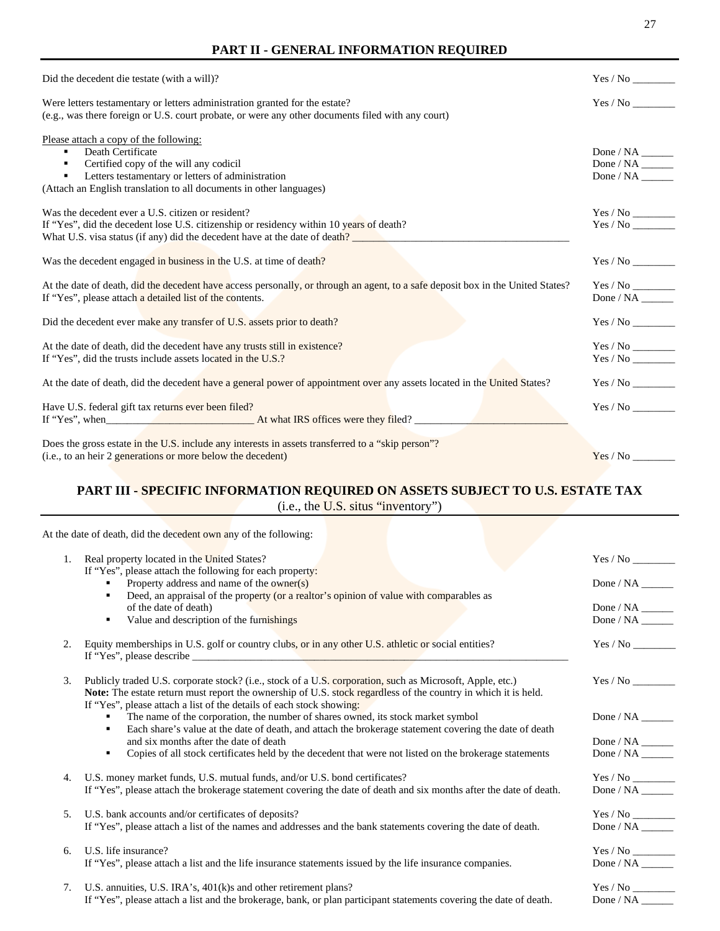### **PART II - GENERAL INFORMATION REQUIRED**

| Did the decedent die testate (with a will)?                                                                                                                                                                                       |                          |
|-----------------------------------------------------------------------------------------------------------------------------------------------------------------------------------------------------------------------------------|--------------------------|
| Were letters testamentary or letters administration granted for the estate?<br>(e.g., was there foreign or U.S. court probate, or were any other documents filed with any court)                                                  | Yes / No                 |
| Please attach a copy of the following:<br>Death Certificate<br>Certified copy of the will any codicil<br>Letters testamentary or letters of administration<br>(Attach an English translation to all documents in other languages) | Done / $NA$<br>Done / NA |
| Was the decedent ever a U.S. citizen or resident?<br>If "Yes", did the decedent lose U.S. citizenship or residency within 10 years of death?<br>What U.S. visa status (if any) did the decedent have at the date of death?        | Yes / No                 |
| Was the decedent engaged in business in the U.S. at time of death?                                                                                                                                                                |                          |
| At the date of death, did the decedent have access personally, or through an agent, to a safe deposit box in the United States?<br>If "Yes", please attach a detailed list of the contents.                                       | Done / NA                |
| Did the decedent ever make any transfer of U.S. assets prior to death?                                                                                                                                                            | Yes / No                 |
| At the date of death, did the decedent have any trusts still in existence?<br>If "Yes", did the trusts include assets located in the U.S.?                                                                                        |                          |
| At the date of death, did the decedent have a general power of appointment over any assets located in the United States?                                                                                                          |                          |
| Have U.S. federal gift tax returns ever been filed?<br>If "Yes", when <b>At what IRS</b> offices were they filed?                                                                                                                 |                          |
| Does the gross estate in the U.S. include any interests in assets transferred to a "skip person"?<br>(i.e., to an heir 2 generations or more below the decedent)                                                                  | Yes / No                 |

## **PART III - SPECIFIC INFORMATION REQUIRED ON ASSETS SUBJECT TO U.S. ESTATE TAX** (i.e., the U.S. situs "inventory")

At the date of death, did the decedent own any of the following:

| 1. | Real property located in the United States?                                                                                                                                                                                        | Yes / No                             |
|----|------------------------------------------------------------------------------------------------------------------------------------------------------------------------------------------------------------------------------------|--------------------------------------|
|    | If "Yes", please attach the following for each property:                                                                                                                                                                           |                                      |
|    | Property address and name of the owner(s)                                                                                                                                                                                          |                                      |
|    | Deed, an appraisal of the property (or a realtor's opinion of value with comparables as                                                                                                                                            |                                      |
|    | of the date of death)                                                                                                                                                                                                              |                                      |
|    | Value and description of the furnishings<br>٠                                                                                                                                                                                      |                                      |
|    |                                                                                                                                                                                                                                    |                                      |
| 2. | Equity memberships in U.S. golf or country clubs, or in any other U.S. athletic or social entities?                                                                                                                                |                                      |
|    |                                                                                                                                                                                                                                    |                                      |
|    |                                                                                                                                                                                                                                    |                                      |
| 3. | Publicly traded U.S. corporate stock? (i.e., stock of a U.S. corporation, such as Microsoft, Apple, etc.)<br><b>Note:</b> The estate return must report the ownership of U.S. stock regardless of the country in which it is held. |                                      |
|    | If "Yes", please attach a list of the details of each stock showing:                                                                                                                                                               |                                      |
|    | The name of the corporation, the number of shares owned, its stock market symbol                                                                                                                                                   |                                      |
|    | Each share's value at the date of death, and attach the brokerage statement covering the date of death<br>٠                                                                                                                        |                                      |
|    | and six months after the date of death                                                                                                                                                                                             | Done / NA $\_\_\_\_\_\_\_\_\_\_\_\_$ |
|    | Copies of all stock certificates held by the decedent that were not listed on the brokerage statements<br>٠                                                                                                                        |                                      |
|    |                                                                                                                                                                                                                                    |                                      |
| 4. | U.S. money market funds, U.S. mutual funds, and/or U.S. bond certificates?                                                                                                                                                         |                                      |
|    | If "Yes", please attach the brokerage statement covering the date of death and six months after the date of death.                                                                                                                 |                                      |
|    |                                                                                                                                                                                                                                    |                                      |
| 5. | U.S. bank accounts and/or certificates of deposits?                                                                                                                                                                                |                                      |
|    | If "Yes", please attach a list of the names and addresses and the bank statements covering the date of death.                                                                                                                      | Done / NA                            |
|    |                                                                                                                                                                                                                                    |                                      |
| б. | U.S. life insurance?                                                                                                                                                                                                               |                                      |
|    | If "Yes", please attach a list and the life insurance statements issued by the life insurance companies.                                                                                                                           |                                      |
|    |                                                                                                                                                                                                                                    |                                      |
| 7. | U.S. annuities, U.S. IRA's, 401(k)s and other retirement plans?                                                                                                                                                                    |                                      |
|    | If "Yes", please attach a list and the brokerage, bank, or plan participant statements covering the date of death.                                                                                                                 | Done / $NA$                          |
|    |                                                                                                                                                                                                                                    |                                      |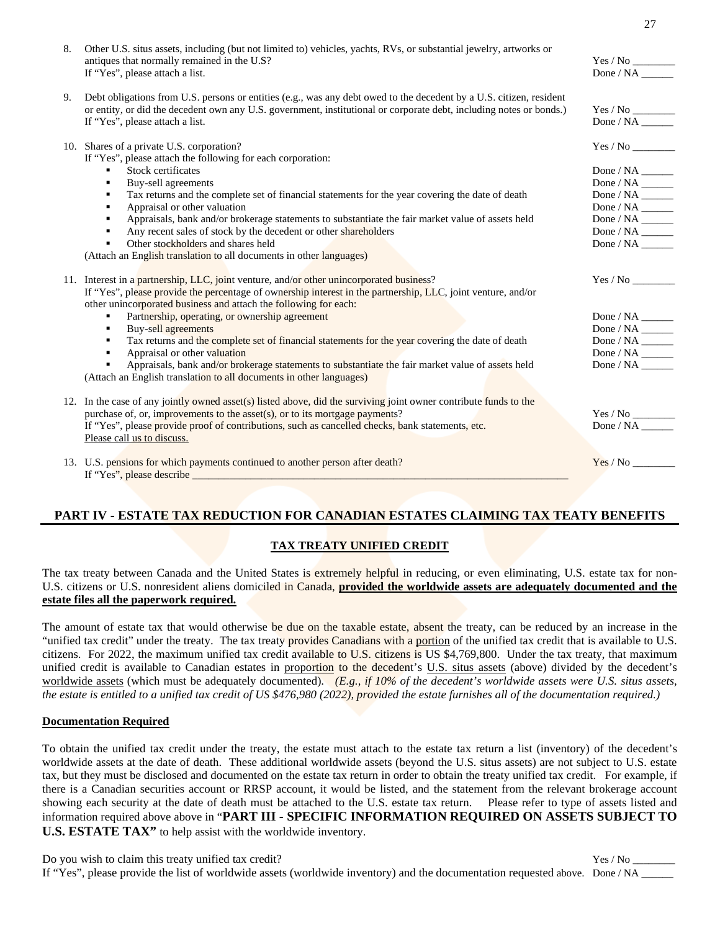| 8. | Other U.S. situs assets, including (but not limited to) vehicles, yachts, RVs, or substantial jewelry, artworks or<br>antiques that normally remained in the U.S?<br>If "Yes", please attach a list.                                                                          | Done / NA $\_\_\_\_\_\_\_\_\_\_\_\_$                                                                                                                         |
|----|-------------------------------------------------------------------------------------------------------------------------------------------------------------------------------------------------------------------------------------------------------------------------------|--------------------------------------------------------------------------------------------------------------------------------------------------------------|
| 9. | Debt obligations from U.S. persons or entities (e.g., was any debt owed to the decedent by a U.S. citizen, resident<br>or entity, or did the decedent own any U.S. government, institutional or corporate debt, including notes or bonds.)<br>If "Yes", please attach a list. |                                                                                                                                                              |
|    | 10. Shares of a private U.S. corporation?<br>If "Yes", please attach the following for each corporation:                                                                                                                                                                      |                                                                                                                                                              |
|    | Stock certificates<br>$\blacksquare$                                                                                                                                                                                                                                          | Done / NA $\_\_\_\_\_\_\_\_\_\_\_$                                                                                                                           |
|    | Buy-sell agreements<br>$\blacksquare$                                                                                                                                                                                                                                         | Done / $NA$ <sub>______</sub>                                                                                                                                |
|    | Tax returns and the complete set of financial statements for the year covering the date of death<br>٠                                                                                                                                                                         | Done / NA $\_\_\_\_\_\_\_\_\_\_\_\_$                                                                                                                         |
|    | Appraisal or other valuation<br>٠                                                                                                                                                                                                                                             |                                                                                                                                                              |
|    | Appraisals, bank and/or brokerage statements to substantiate the fair market value of assets held<br>٠                                                                                                                                                                        | Done / NA $\_\_\_\_\_\_\_\_\_\_\_$                                                                                                                           |
|    | Any recent sales of stock by the decedent or other shareholders<br>٠                                                                                                                                                                                                          | Done / NA $\_\_\_\_\_\_\_\_\_\_\_\_$                                                                                                                         |
|    | Other stockholders and shares held<br>٠                                                                                                                                                                                                                                       |                                                                                                                                                              |
|    | (Attach an English translation to all documents in other languages)                                                                                                                                                                                                           |                                                                                                                                                              |
|    | 11. Interest in a partnership, LLC, joint venture, and/or other unincorporated business?                                                                                                                                                                                      |                                                                                                                                                              |
|    | If "Yes", please provide the percentage of ownership interest in the partnership, LLC, joint venture, and/or<br>other unincorporated business and attach the following for each:                                                                                              |                                                                                                                                                              |
|    | Partnership, operating, or ownership agreement<br>٠                                                                                                                                                                                                                           | Done / $NA$ <sub>______</sub>                                                                                                                                |
|    | <b>Buy-sell agreements</b><br>$\blacksquare$                                                                                                                                                                                                                                  | Done / NA $\_\_\_\_\_\_\_\_\_\_\_\$                                                                                                                          |
|    | Tax returns and the complete set of financial statements for the year covering the date of death<br>٠                                                                                                                                                                         |                                                                                                                                                              |
|    | Appraisal or other valuation<br>٠                                                                                                                                                                                                                                             | $\begin{array}{c} \text{Done} \text{/ NA} \underline{\hspace{1cm}} \\ \text{Done} \text{/ NA} \underline{\hspace{1cm}} \underline{\hspace{1cm}} \end{array}$ |
|    | Appraisals, bank and/or brokerage statements to substantiate the fair market value of assets held<br>٠<br>(Attach an English translation to all documents in other languages)                                                                                                 |                                                                                                                                                              |
|    | 12. In the case of any jointly owned asset(s) listed above, did the surviving joint owner contribute funds to the                                                                                                                                                             |                                                                                                                                                              |
|    | purchase of, or, improvements to the asset(s), or to its mortgage payments?                                                                                                                                                                                                   |                                                                                                                                                              |
|    | If "Yes", please provide proof of contributions, such as cancelled checks, bank statements, etc.                                                                                                                                                                              | Done / NA                                                                                                                                                    |
|    | Please call us to discuss.                                                                                                                                                                                                                                                    |                                                                                                                                                              |
|    | 13. U.S. pensions for which payments continued to another person after death?                                                                                                                                                                                                 | Yes / No                                                                                                                                                     |
|    | If "Yes", please describe $\_\_\_\_\_\_\_\_\_\_$                                                                                                                                                                                                                              |                                                                                                                                                              |
|    |                                                                                                                                                                                                                                                                               |                                                                                                                                                              |

## **PART IV - ESTATE TAX REDUCTION FOR CANADIAN ESTATES CLAIMING TAX TEATY BENEFITS**

### **TAX TREATY UNIFIED CREDIT**

The tax treaty between Canada and the United States is extremely helpful in reducing, or even eliminating, U.S. estate tax for non-U.S. citizens or U.S. nonresident aliens domiciled in Canada, **provided the worldwide assets are adequately documented and the estate files all the paperwork required.**

The amount of estate tax that would otherwise be due on the taxable estate, absent the treaty, can be reduced by an increase in the "unified tax credit" under the treaty. The tax treaty provides Canadians with a portion of the unified tax credit that is available to U.S. citizens. For 2022, the maximum unified tax credit available to U.S. citizens is US \$4,769,800. Under the tax treaty, that maximum unified credit is available to Canadian estates in proportion to the decedent's U.S. situs assets (above) divided by the decedent's worldwide assets (which must be adequately documented). *(E.g., if 10% of the decedent's worldwide assets were U.S. situs assets, the estate is entitled to a unified tax credit of US \$476,980 (2022), provided the estate furnishes all of the documentation required.)*

#### **Documentation Required**

To obtain the unified tax credit under the treaty, the estate must attach to the estate tax return a list (inventory) of the decedent's worldwide assets at the date of death. These additional worldwide assets (beyond the U.S. situs assets) are not subject to U.S. estate tax, but they must be disclosed and documented on the estate tax return in order to obtain the treaty unified tax credit. For example, if there is a Canadian securities account or RRSP account, it would be listed, and the statement from the relevant brokerage account showing each security at the date of death must be attached to the U.S. estate tax return. Please refer to type of assets listed and information required above above in "**PART III - SPECIFIC INFORMATION REQUIRED ON ASSETS SUBJECT TO U.S. ESTATE TAX"** to help assist with the worldwide inventory.

Do you wish to claim this treaty unified tax credit? Yes / No \_\_\_\_\_\_\_\_ If "Yes", please provide the list of worldwide assets (worldwide inventory) and the documentation requested above. Done / NA \_\_\_\_\_\_